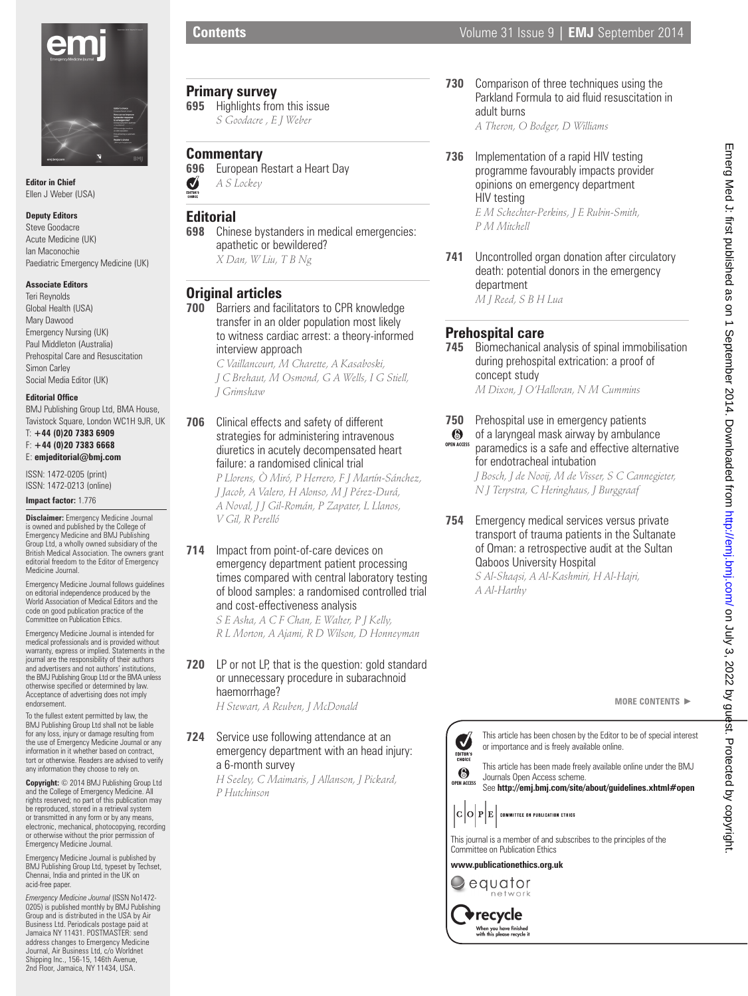

**Editor in Chief** Ellen J Weber (USA)

#### **Deputy Editors**

Steve Goodacre Acute Medicine (UK) Ian Maconochie Paediatric Emergency Medicine (UK)

#### **Associate Editors**

Teri Reynolds Global Health (USA) Mary Dawood Emergency Nursing (UK) Paul Middleton (Australia) Prehospital Care and Resuscitation Simon Carley Social Media Editor (UK)

#### **Editorial Office**

BMJ Publishing Group Ltd, BMA House, Tavistock Square, London WC1H 9JR, UK T: **+44 (0)20 7383 6909** 

F: **+44 (0)20 7383 6668** E: **emjeditorial@bmj.com**

ISSN: 1472-0205 (print) ISSN: 1472-0213 (online)

**Impact factor:** 1.776

**Disclaimer:** Emergency Medicine Journal is owned and published by the College of Emergency Medicine and BMJ Publishing Group Ltd, a wholly owned subsidiary of the British Medical Association. The owners grant editorial freedom to the Editor of Emergency Medicine Journal.

Emergency Medicine Journal follows guidelines on editorial independence produced by the World Association of Medical Editors and the code on good publication practice of the Committee on Publication Ethics.

Emergency Medicine Journal is intended for medical professionals and is provided without warranty, express or implied. Statements in the journal are the responsibility of their authors and advertisers and not authors' institutions, the BMJ Publishing Group Ltd or the BMA unless otherwise specified or determined by law. Acceptance of advertising does not imply endorsement.

To the fullest extent permitted by law, the BMJ Publishing Group Ltd shall not be liable for any loss, injury or damage resulting from the use of Emergency Medicine Journal or any information in it whether based on contract, tort or otherwise. Readers are advised to verify any information they choose to rely on.

**Copyright:** © 2014 BMJ Publishing Group Ltd and the College of Emergency Medicine. All rights reserved; no part of this publication may be reproduced, stored in a retrieval system or transmitted in any form or by any means electronic, mechanical, photocopying, recording or otherwise without the prior permission of Emergency Medicine Journal.

Emergency Medicine Journal is published by BMJ Publishing Group Ltd, typeset by Techset, Chennai, India and printed in the UK on acid-free paper.

*Emergency Medicine Journal* (ISSN No1472- 0205) is published monthly by BMJ Publishing Group and is distributed in the USA by Air Business Ltd. Periodicals postage paid at Jamaica NY 11431. POSTMASTER: send address changes to Emergency Medicine Journal, Air Business Ltd, c/o Worldnet Shipping Inc., 156-15, 146th Avenue, 2nd Floor, Jamaica, NY 11434, USA.

## **Primary survey**

**695** Highlights from this issue *S Goodacre , E J Weber*

# **Commentary**<br>696 European F

**696** European Restart a Heart Day<br> *A S Lockey A S Lockey*

## **Editorial**

**698** Chinese bystanders in medical emergencies: apathetic or bewildered? *X Dan, W Liu, T B Ng*

## **Original articles**

**700** Barriers and facilitators to CPR knowledge transfer in an older population most likely to witness cardiac arrest: a theory-informed interview approach

> *C Vaillancourt, M Charette, A Kasaboski, J C Brehaut, M Osmond, G A Wells, I G Stiell, J Grimshaw*

**706** Clinical effects and safety of different strategies for administering intravenous diuretics in acutely decompensated heart failure: a randomised clinical trial

> *P Llorens, Ò Miró, P Herrero, F J Martín-Sánchez, J Jacob, A Valero, H Alonso, M J Pérez-Durá, A Noval, J J Gil-Román, P Zapater, L Llanos, V Gil, R Perelló*

**714** Impact from point-of-care devices on emergency department patient processing times compared with central laboratory testing of blood samples: a randomised controlled trial and cost-effectiveness analysis

*S E Asha, A C F Chan, E Walter, P J Kelly, R L Morton, A Ajami, R D Wilson, D Honneyman*

**720** LP or not LP, that is the question: gold standard or unnecessary procedure in subarachnoid haemorrhage?

*H Stewart, A Reuben, J McDonald*

## **724** Service use following attendance at an emergency department with an head injury: a 6-month survey

*H Seeley, C Maimaris, J Allanson, J Pickard, P Hutchinson*

**730** Comparison of three techniques using the Parkland Formula to aid fluid resuscitation in adult burns

*A Theron, O Bodger, D Williams*

- **736** Implementation of a rapid HIV testing programme favourably impacts provider opinions on emergency department HIV testing *E M Schechter-Perkins, J E Rubin-Smith, P M Mitchell*
- **741** Uncontrolled organ donation after circulatory death: potential donors in the emergency department *M J Reed, S B H Lua*

**Prehospital care**

**745** Biomechanical analysis of spinal immobilisation during prehospital extrication: a proof of concept study

*M Dixon, J O'Halloran, N M Cummins*

- **750** Prehospital use in emergency patients
- of a laryngeal mask airway by ambulance  $\odot$ **OPEN ACCESS** paramedics is a safe and effective alternative for endotracheal intubation *J Bosch, J de Nooij, M de Visser, S C Cannegieter,*

*N J Terpstra, C Heringhaus, J Burggraaf*

**754** Emergency medical services versus private transport of trauma patients in the Sultanate of Oman: a retrospective audit at the Sultan Qaboos University Hospital

*S Al-Shaqsi, A Al-Kashmiri, H Al-Hajri, A Al-Harthy*

This article has been chosen by the Editor to be of special interest

**MORE CONTENTS** -

Emerg Med J: first published as on 1 September 2014. Downloaded from http://emj./om/ on July 3, 2022 by guest. Protected by copyright Emerg Med J: first published as on 1 September 2014. Downloaded from http://emj.com/ on July 3, 2022 by guest. Protected by copyright.



**www.publicationethics.org.uk**

equator network recycle When you have finished<br>with this please recycle it

J